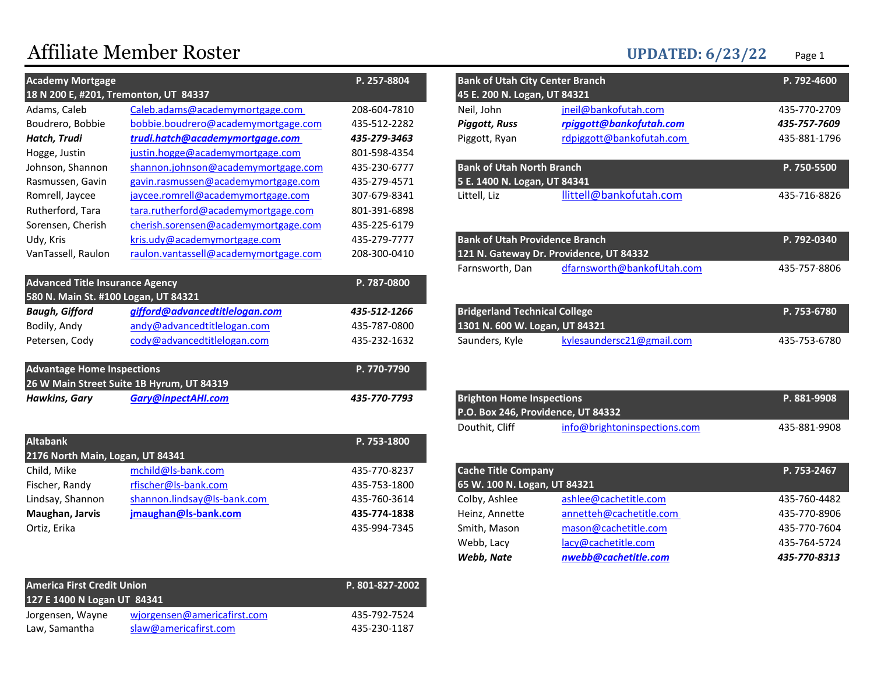# Affiliate Member Roster UPDATED: 6/23/22 Page 1

| <b>Academy Mortgage</b>                |                                           | P. 257-8804  | <b>Bank of Utah City Center Branch</b> |                                         | P. 792-4600  |
|----------------------------------------|-------------------------------------------|--------------|----------------------------------------|-----------------------------------------|--------------|
|                                        | 18 N 200 E, #201, Tremonton, UT 84337     |              | 45 E. 200 N. Logan, UT 84321           |                                         |              |
| Adams, Caleb                           | Caleb.adams@academymortgage.com           | 208-604-7810 | Neil, John                             | jneil@bankofutah.com                    | 435-770-2709 |
| Boudrero, Bobbie                       | bobbie.boudrero@academymortgage.com       | 435-512-2282 | <b>Piggott, Russ</b>                   | rpiggott@bankofutah.com                 | 435-757-7609 |
| Hatch, Trudi                           | trudi.hatch@academymortgage.com           | 435-279-3463 | Piggott, Ryan                          | rdpiggott@bankofutah.com                | 435-881-1796 |
| Hogge, Justin                          | justin.hogge@academymortgage.com          | 801-598-4354 |                                        |                                         |              |
| Johnson, Shannon                       | shannon.johnson@academymortgage.com       | 435-230-6777 | <b>Bank of Utah North Branch</b>       |                                         | P. 750-5500  |
| Rasmussen, Gavin                       | gavin.rasmussen@academymortgage.com       | 435-279-4571 | 5 E. 1400 N. Logan, UT 84341           |                                         |              |
| Romrell, Jaycee                        | jaycee.romrell@academymortgage.com        | 307-679-8341 | Littell, Liz                           | llittell@bankofutah.com                 | 435-716-8826 |
| Rutherford, Tara                       | tara.rutherford@academymortgage.com       | 801-391-6898 |                                        |                                         |              |
| Sorensen, Cherish                      | cherish.sorensen@academymortgage.com      | 435-225-6179 |                                        |                                         |              |
| Udy, Kris                              | kris.udy@academymortgage.com              | 435-279-7777 | <b>Bank of Utah Providence Branch</b>  |                                         | P. 792-0340  |
| VanTassell, Raulon                     | raulon.vantassell@academymortgage.com     | 208-300-0410 |                                        | 121 N. Gateway Dr. Providence, UT 84332 |              |
|                                        |                                           |              | Farnsworth, Dan                        | dfarnsworth@bankofUtah.com              | 435-757-8806 |
| <b>Advanced Title Insurance Agency</b> |                                           | P. 787-0800  |                                        |                                         |              |
| 580 N. Main St. #100 Logan, UT 84321   |                                           |              |                                        |                                         |              |
| <b>Baugh, Gifford</b>                  | gifford@advancedtitlelogan.com            | 435-512-1266 | <b>Bridgerland Technical College</b>   |                                         | P. 753-6780  |
| Bodily, Andy                           | andy@advancedtitlelogan.com               | 435-787-0800 | 1301 N. 600 W. Logan, UT 84321         |                                         |              |
| Petersen, Cody                         | cody@advancedtitlelogan.com               | 435-232-1632 | Saunders, Kyle                         | kylesaundersc21@gmail.com               | 435-753-6780 |
| <b>Advantage Home Inspections</b>      | 26 W Main Street Suite 1B Hyrum, UT 84319 | P. 770-7790  |                                        |                                         |              |
| Hawkins, Gary                          | <b>Gary@inpectAHI.com</b>                 | 435-770-7793 | <b>Brighton Home Inspections</b>       |                                         | P. 881-9908  |

| <b>Altabank</b>                  |                             | P. 753-1800  |                              |                         |              |
|----------------------------------|-----------------------------|--------------|------------------------------|-------------------------|--------------|
| 2176 North Main, Logan, UT 84341 |                             |              |                              |                         |              |
| Child, Mike                      | mchild@ls-bank.com          | 435-770-8237 | <b>Cache Title Company</b>   |                         | P. 753-2467  |
| Fischer, Randy                   | rfischer@ls-bank.com        | 435-753-1800 | 65 W. 100 N. Logan, UT 84321 |                         |              |
| Lindsay, Shannon                 | shannon.lindsay@ls-bank.com | 435-760-3614 | Colby, Ashlee                | ashlee@cachetitle.com   | 435-760-4482 |
| Maughan, Jarvis                  | jmaughan@ls-bank.com        | 435-774-1838 | Heinz, Annette               | annetteh@cachetitle.com | 435-770-8906 |
| Ortiz, Erika                     |                             | 435-994-7345 | Smith, Mason                 | mason@cachetitle.com    | 435-770-7604 |

| <b>America First Credit Union</b><br>127 E 1400 N Logan UT 84341 |                             | P. 801-827-2002 |
|------------------------------------------------------------------|-----------------------------|-----------------|
| Jorgensen, Wayne                                                 | wjorgensen@americafirst.com | 435-792-7524    |
| Law, Samantha                                                    | slaw@americafirst.com       | 435-230-1187    |

| P. 257-8804 | <b>Bank of Utah City Center Branch</b> |                                         | P. 792-4600  |
|-------------|----------------------------------------|-----------------------------------------|--------------|
|             | 45 E. 200 N. Logan, UT 84321           |                                         |              |
| 08-604-7810 | Neil, John                             | jneil@bankofutah.com                    | 435-770-2709 |
| 35-512-2282 | <b>Piggott, Russ</b>                   | rpiggott@bankofutah.com                 | 435-757-7609 |
| 35-279-3463 | Piggott, Ryan                          | rdpiggott@bankofutah.com                | 435-881-1796 |
| 01-598-4354 |                                        |                                         |              |
| 35-230-6777 | <b>Bank of Utah North Branch</b>       |                                         | P. 750-5500  |
| 35-279-4571 | 5 E. 1400 N. Logan, UT 84341           |                                         |              |
| 07-679-8341 | Littell, Liz                           | llittell@bankofutah.com                 | 435-716-8826 |
| 01-391-6898 |                                        |                                         |              |
| 35-225-6179 |                                        |                                         |              |
| 35-279-7777 | <b>Bank of Utah Providence Branch</b>  |                                         | P. 792-0340  |
| 08-300-0410 |                                        | 121 N. Gateway Dr. Providence, UT 84332 |              |
|             | Farnsworth, Dan                        | dfarnsworth@bankofUtah.com              | 435-757-8806 |
| P. 787-0800 |                                        |                                         |              |
|             |                                        |                                         |              |
| 35-512-1266 | <b>Bridgerland Technical College</b>   |                                         | P. 753-6780  |
| 35-787-0800 | 1301 N. 600 W. Logan, UT 84321         |                                         |              |
| 35-232-1632 | Saunders, Kyle                         | kylesaundersc21@gmail.com               | 435-753-6780 |
| P. 770-7790 |                                        |                                         |              |
| 35-770-7793 | <b>Brighton Home Inspections</b>       |                                         | P. 881-9908  |
|             | P.O. Box 246, Providence, UT 84332     |                                         |              |
|             | Douthit, Cliff                         | info@brightoninspections.com            | 435-881-9908 |
| P. 753-1800 |                                        |                                         |              |
| 35-770-8237 | <b>Cache Title Company</b>             |                                         | P. 753-2467  |
| 35-753-1800 | 65 W. 100 N. Logan, UT 84321           |                                         |              |
| 35-760-3614 | Colby, Ashlee                          | ashlee@cachetitle.com                   | 435-760-4482 |
| 35-774-1838 | Heinz, Annette                         | annetteh@cachetitle.com                 | 435-770-8906 |
| 35-994-7345 | Smith, Mason                           | mason@cachetitle.com                    | 435-770-7604 |
|             | Webb, Lacy                             | lacy@cachetitle.com                     | 435-764-5724 |
|             | Webb, Nate                             | nwebb@cachetitle.com                    | 435-770-8313 |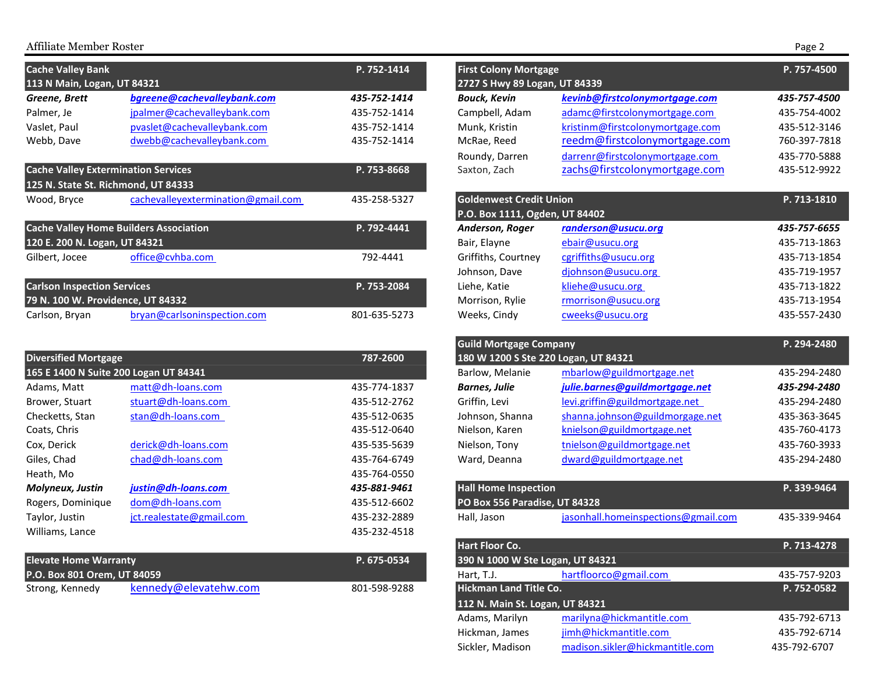### Affiliate Member Roster Page 2

| <b>Cache Valley Bank</b>                   |                                               | P. 752-1414  | <b>First Colony Mortgage</b>   |                                  | P. 757-4500  |
|--------------------------------------------|-----------------------------------------------|--------------|--------------------------------|----------------------------------|--------------|
| 113 N Main, Logan, UT 84321                |                                               |              | 2727 S Hwy 89 Logan, UT 84339  |                                  |              |
| Greene, Brett                              | bgreene@cachevalleybank.com                   | 435-752-1414 | <b>Bouck, Kevin</b>            | kevinb@firstcolonymortgage.com   | 435-757-4500 |
| Palmer, Je                                 | jpalmer@cachevalleybank.com                   | 435-752-1414 | Campbell, Adam                 | adamc@firstcolonymortgage.com    | 435-754-4002 |
| Vaslet, Paul                               | pvaslet@cachevalleybank.com                   | 435-752-1414 | Munk, Kristin                  | kristinm@firstcolonymortgage.com | 435-512-3146 |
| Webb, Dave                                 | dwebb@cachevalleybank.com                     | 435-752-1414 | McRae, Reed                    | reedm@firstcolonymortgage.com    | 760-397-7818 |
|                                            |                                               |              | Roundy, Darren                 | darrenr@firstcolonymortgage.com  | 435-770-5888 |
| <b>Cache Valley Extermination Services</b> |                                               | P. 753-8668  | Saxton, Zach                   | zachs@firstcolonymortgage.com    | 435-512-9922 |
|                                            | 125 N. State St. Richmond, UT 84333           |              |                                |                                  |              |
| Wood, Bryce                                | cachevalleyextermination@gmail.com            | 435-258-5327 | <b>Goldenwest Credit Union</b> |                                  | P. 713-1810  |
|                                            |                                               |              | P.O. Box 1111, Ogden, UT 84402 |                                  |              |
|                                            | <b>Cache Valley Home Builders Association</b> | P. 792-4441  | Anderson, Roger                | randerson@usucu.org              | 435-757-6655 |
| 120 E. 200 N. Logan, UT 84321              |                                               |              | Bair, Elayne                   | ebair@usucu.org                  | 435-713-1863 |
| Gilbert, Jocee                             | office@cvhba.com                              | 792-4441     | Griffiths, Courtney            | cgriffiths@usucu.org             | 435-713-1854 |
|                                            |                                               |              | Johnson, Dave                  | djohnson@usucu.org               | 435-719-1957 |
| <b>Carlson Inspection Services</b>         |                                               | P. 753-2084  | Liehe, Katie                   | kliehe@usucu.org                 | 435-713-1822 |
| 79 N. 100 W. Providence, UT 84332          |                                               |              | Morrison, Rylie                | rmorrison@usucu.org              | 435-713-1954 |
| Carlson, Bryan                             | bryan@carlsoninspection.com                   | 801-635-5273 | Weeks, Cindy                   | cweeks@usucu.org                 | 435-557-2430 |

|                                       |              |                                      |                                     | .                                                                                                |
|---------------------------------------|--------------|--------------------------------------|-------------------------------------|--------------------------------------------------------------------------------------------------|
| <b>Diversified Mortgage</b>           | 787-2600     | 180 W 1200 S Ste 220 Logan, UT 84321 |                                     | 435-294-2480                                                                                     |
| 165 E 1400 N Suite 200 Logan UT 84341 |              | Barlow, Melanie                      | mbarlow@guildmortgage.net           |                                                                                                  |
| matt@dh-loans.com                     | 435-774-1837 | <b>Barnes, Julie</b>                 | julie.barnes@guildmortgage.net      | 435-294-2480                                                                                     |
| stuart@dh-loans.com                   | 435-512-2762 | Griffin, Levi                        | levi.griffin@guildmortgage.net      | 435-294-2480                                                                                     |
| stan@dh-loans.com                     | 435-512-0635 | Johnson, Shanna                      | shanna.johnson@guildmorgage.net     | 435-363-3645                                                                                     |
|                                       | 435-512-0640 | Nielson, Karen                       | knielson@guildmortgage.net          | 435-760-4173                                                                                     |
| derick@dh-loans.com                   | 435-535-5639 | Nielson. Tony                        | tnielson@guildmortgage.net          | 435-760-3933                                                                                     |
| chad@dh-loans.com                     | 435-764-6749 | Ward, Deanna                         | dward@guildmortgage.net             | 435-294-2480                                                                                     |
|                                       | 435-764-0550 |                                      |                                     |                                                                                                  |
| justin@dh-loans.com                   | 435-881-9461 |                                      |                                     | P. 339-9464                                                                                      |
| dom@dh-loans.com                      | 435-512-6602 |                                      |                                     |                                                                                                  |
| jct.realestate@gmail.com              | 435-232-2889 | Hall, Jason                          | jasonhall.homeinspections@gmail.com | 435-339-9464                                                                                     |
|                                       | 435-232-4518 |                                      |                                     |                                                                                                  |
|                                       |              |                                      |                                     | <b>Odina IVIOI ISUSC COMPANY</b><br><b>Hall Home Inspection</b><br>PO Box 556 Paradise, UT 84328 |

| <b>Elevate Home Warranty</b> |                       | P. 675-0534  |
|------------------------------|-----------------------|--------------|
| P.O. Box 801 Orem, UT 84059  |                       |              |
| Strong, Kennedy              | kennedy@elevatehw.com | 801-598-9288 |

| <b>Cache Valley Bank</b>                      |                                    | P. 752-1414  | <b>First Colony Mortgage</b>                                     |                                     | P. 757-4500  |
|-----------------------------------------------|------------------------------------|--------------|------------------------------------------------------------------|-------------------------------------|--------------|
| 113 N Main, Logan, UT 84321                   |                                    |              | 2727 S Hwy 89 Logan, UT 84339                                    |                                     |              |
| Greene, Brett                                 | bgreene@cachevalleybank.com        | 435-752-1414 | <b>Bouck, Kevin</b>                                              | kevinb@firstcolonymortgage.com      | 435-757-4500 |
| Palmer, Je                                    | jpalmer@cachevalleybank.com        | 435-752-1414 | Campbell, Adam                                                   | adamc@firstcolonymortgage.com       | 435-754-4002 |
| Vaslet, Paul                                  | pvaslet@cachevalleybank.com        | 435-752-1414 | Munk, Kristin                                                    | kristinm@firstcolonymortgage.com    | 435-512-3146 |
| Webb, Dave                                    | dwebb@cachevalleybank.com          | 435-752-1414 | McRae, Reed                                                      | reedm@firstcolonymortgage.com       | 760-397-7818 |
|                                               |                                    |              | Roundy, Darren                                                   | darrenr@firstcolonymortgage.com     | 435-770-5888 |
| <b>Cache Valley Extermination Services</b>    |                                    | P. 753-8668  | Saxton, Zach                                                     | zachs@firstcolonymortgage.com       | 435-512-9922 |
| 125 N. State St. Richmond, UT 84333           |                                    |              | <b>Goldenwest Credit Union</b>                                   |                                     |              |
| Wood, Bryce                                   | cachevalleyextermination@gmail.com | 435-258-5327 | P.O. Box 1111, Ogden, UT 84402                                   |                                     | P. 713-1810  |
| <b>Cache Valley Home Builders Association</b> |                                    | P. 792-4441  | Anderson, Roger                                                  | randerson@usucu.org                 | 435-757-6655 |
| 120 E. 200 N. Logan, UT 84321                 |                                    |              | Bair, Elayne                                                     | ebair@usucu.org                     | 435-713-1863 |
| Gilbert, Jocee                                | office@cvhba.com                   | 792-4441     | Griffiths, Courtney                                              | cgriffiths@usucu.org                | 435-713-1854 |
|                                               |                                    |              | Johnson, Dave                                                    | djohnson@usucu.org                  | 435-719-1957 |
| <b>Carlson Inspection Services</b>            |                                    | P. 753-2084  | Liehe, Katie                                                     | kliehe@usucu.org                    | 435-713-1822 |
| 79 N. 100 W. Providence, UT 84332             |                                    |              | Morrison, Rylie                                                  | rmorrison@usucu.org                 | 435-713-1954 |
| Carlson, Bryan                                | bryan@carlsoninspection.com        | 801-635-5273 | Weeks, Cindy                                                     | cweeks@usucu.org                    | 435-557-2430 |
|                                               |                                    |              |                                                                  |                                     |              |
|                                               |                                    |              | <b>Guild Mortgage Company</b>                                    |                                     | P. 294-2480  |
| <b>Diversified Mortgage</b>                   |                                    | 787-2600     | 180 W 1200 S Ste 220 Logan, UT 84321                             |                                     |              |
| 165 E 1400 N Suite 200 Logan UT 84341         |                                    |              | Barlow, Melanie                                                  | mbarlow@guildmortgage.net           | 435-294-2480 |
| Adams, Matt                                   | matt@dh-loans.com                  | 435-774-1837 | <b>Barnes, Julie</b>                                             | julie.barnes@guildmortgage.net      | 435-294-2480 |
| Brower, Stuart                                | stuart@dh-loans.com                | 435-512-2762 | Griffin, Levi                                                    | levi.griffin@guildmortgage.net      | 435-294-2480 |
| Checketts, Stan                               | stan@dh-loans.com                  | 435-512-0635 | Johnson, Shanna                                                  | shanna.johnson@guildmorgage.net     | 435-363-3645 |
| Coats, Chris                                  |                                    | 435-512-0640 | Nielson, Karen                                                   | knielson@guildmortgage.net          | 435-760-4173 |
| Cox, Derick                                   | derick@dh-loans.com                | 435-535-5639 | Nielson, Tony                                                    | tnielson@guildmortgage.net          | 435-760-3933 |
| Giles, Chad                                   | chad@dh-loans.com                  | 435-764-6749 | Ward, Deanna                                                     | dward@guildmortgage.net             | 435-294-2480 |
| Heath, Mo                                     |                                    | 435-764-0550 |                                                                  |                                     |              |
| Molyneux, Justin                              | justin@dh-loans.com                | 435-881-9461 | <b>Hall Home Inspection</b>                                      |                                     | P. 339-9464  |
| Rogers, Dominique                             | dom@dh-loans.com                   | 435-512-6602 | PO Box 556 Paradise, UT 84328                                    |                                     |              |
| Taylor, Justin                                | jct.realestate@gmail.com           | 435-232-2889 | Hall, Jason                                                      | jasonhall.homeinspections@gmail.com | 435-339-9464 |
| Williams, Lance                               |                                    | 435-232-4518 |                                                                  |                                     |              |
|                                               |                                    |              | <b>Hart Floor Co.</b>                                            |                                     | P. 713-4278  |
| <b>Elevate Home Warranty</b>                  |                                    | P. 675-0534  | 390 N 1000 W Ste Logan, UT 84321                                 |                                     |              |
| P.O. Box 801 Orem, UT 84059                   |                                    |              | Hart, T.J.                                                       | hartfloorco@gmail.com               | 435-757-9203 |
| Strong, Kennedy                               | kennedy@elevatehw.com              | 801-598-9288 | <b>Hickman Land Title Co.</b><br>112 N. Main St. Logan, UT 84321 |                                     | P. 752-0582  |
|                                               |                                    |              | Adams, Marilyn                                                   | marilyna@hickmantitle.com           | 435-792-6713 |
|                                               |                                    |              | Hickman, James                                                   | jimh@hickmantitle.com               | 435-792-6714 |
|                                               |                                    |              | Sickler, Madison                                                 | madison.sikler@hickmantitle.com     | 435-792-6707 |
|                                               |                                    |              |                                                                  |                                     |              |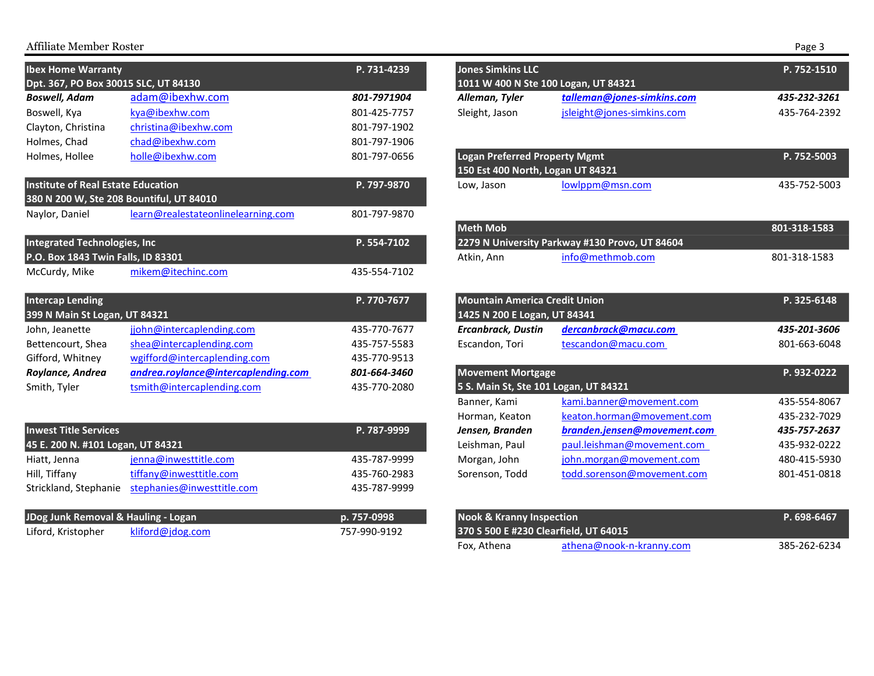# Affiliate Member Roster

| <b>Ibex Home Warranty</b>                 |                                     | P. 731-4239  | <b>Jones Simkins LLC</b>                                                  |                                                | P. 752-1510  |
|-------------------------------------------|-------------------------------------|--------------|---------------------------------------------------------------------------|------------------------------------------------|--------------|
| Dpt. 367, PO Box 30015 SLC, UT 84130      |                                     |              | 1011 W 400 N Ste 100 Logan, UT 84321                                      |                                                |              |
| <b>Boswell, Adam</b>                      | adam@ibexhw.com                     | 801-7971904  | Alleman, Tyler                                                            | talleman@jones-simkins.com                     | 435-232-3261 |
| Boswell, Kya                              | kya@ibexhw.com                      | 801-425-7757 | Sleight, Jason                                                            | jsleight@jones-simkins.com                     | 435-764-2392 |
| Clayton, Christina                        | christina@ibexhw.com                | 801-797-1902 |                                                                           |                                                |              |
| Holmes, Chad                              | chad@ibexhw.com                     | 801-797-1906 |                                                                           |                                                |              |
| Holmes, Hollee                            | holle@ibexhw.com                    | 801-797-0656 | <b>Logan Preferred Property Mgmt</b><br>150 Est 400 North, Logan UT 84321 |                                                | P. 752-5003  |
| <b>Institute of Real Estate Education</b> |                                     | P. 797-9870  | Low, Jason                                                                | lowlppm@msn.com                                | 435-752-5003 |
| 380 N 200 W, Ste 208 Bountiful, UT 84010  |                                     |              |                                                                           |                                                |              |
| Naylor, Daniel                            | learn@realestateonlinelearning.com  | 801-797-9870 |                                                                           |                                                |              |
|                                           |                                     |              | <b>Meth Mob</b>                                                           |                                                | 801-318-1583 |
| <b>Integrated Technologies, Inc</b>       |                                     | P. 554-7102  |                                                                           | 2279 N University Parkway #130 Provo, UT 84604 |              |
| P.O. Box 1843 Twin Falls, ID 83301        |                                     |              | Atkin, Ann                                                                | info@methmob.com                               | 801-318-1583 |
| McCurdy, Mike                             | mikem@itechinc.com                  | 435-554-7102 |                                                                           |                                                |              |
| <b>Intercap Lending</b>                   |                                     | P. 770-7677  | <b>Mountain America Credit Union</b>                                      |                                                | P. 325-6148  |
| 399 N Main St Logan, UT 84321             |                                     |              | 1425 N 200 E Logan, UT 84341                                              |                                                |              |
| John, Jeanette                            | jjohn@intercaplending.com           | 435-770-7677 | <b>Ercanbrack, Dustin</b>                                                 | dercanbrack@macu.com                           | 435-201-3606 |
| Bettencourt, Shea                         | shea@intercaplending.com            | 435-757-5583 | Escandon, Tori                                                            | tescandon@macu.com                             | 801-663-6048 |
| Gifford, Whitney                          | wgifford@intercaplending.com        | 435-770-9513 |                                                                           |                                                |              |
| Roylance, Andrea                          | andrea.roylance@intercaplending.com | 801-664-3460 | <b>Movement Mortgage</b>                                                  |                                                | P. 932-0222  |
| Smith, Tyler                              | tsmith@intercaplending.com          | 435-770-2080 | 5 S. Main St, Ste 101 Logan, UT 84321                                     |                                                |              |
|                                           |                                     |              | Banner, Kami                                                              | kami.banner@movement.com                       | 435-554-8067 |
|                                           |                                     |              | Horman, Keaton                                                            | keaton.horman@movement.com                     | 435-232-7029 |
| <b>Inwest Title Services</b>              |                                     | P. 787-9999  | Jensen, Branden                                                           | branden.jensen@movement.com                    | 435-757-2637 |
| 45 E. 200 N. #101 Logan, UT 84321         |                                     |              | Leishman, Paul                                                            | paul.leishman@movement.com                     | 435-932-0222 |
| Hiatt, Jenna                              | jenna@inwesttitle.com               | 435-787-9999 | Morgan, John                                                              | john.morgan@movement.com                       | 480-415-5930 |
| Hill, Tiffany                             | tiffany@inwesttitle.com             | 435-760-2983 | Sorenson, Todd                                                            | todd.sorenson@movement.com                     | 801-451-0818 |
| Strickland, Stephanie                     | stephanies@inwesttitle.com          | 435-787-9999 |                                                                           |                                                |              |

| JDog Junk Removal & Hauling - Logan |                  | p. 757-0998  | <b>Nook &amp; Kranny Inspection</b>   | P. 698-6467 |
|-------------------------------------|------------------|--------------|---------------------------------------|-------------|
| Liford, Kristopher                  | kliford@jdog.com | 757-990-9192 | 370 S 500 E #230 Clearfield, UT 64015 |             |

|                                                                           |                                                | Page 3       |
|---------------------------------------------------------------------------|------------------------------------------------|--------------|
| <b>Jones Simkins LLC</b><br>1011 W 400 N Ste 100 Logan, UT 84321          |                                                | P. 752-1510  |
| Alleman, Tyler                                                            | talleman@jones-simkins.com                     | 435-232-3261 |
| Sleight, Jason                                                            | jsleight@jones-simkins.com                     | 435-764-2392 |
| <b>Logan Preferred Property Mgmt</b><br>150 Est 400 North, Logan UT 84321 |                                                | P. 752-5003  |
| Low, Jason                                                                | lowlppm@msn.com                                | 435-752-5003 |
| <b>Meth Mob</b>                                                           | 2279 N University Parkway #130 Provo, UT 84604 | 801-318-1583 |
| Atkin, Ann                                                                | info@methmob.com                               | 801-318-1583 |
| <b>Mountain America Credit Union</b><br>1425 N 200 E Logan, UT 84341      |                                                | P. 325-6148  |
| <b>Ercanbrack, Dustin</b>                                                 | dercanbrack@macu.com                           | 435-201-3606 |
| Escandon, Tori                                                            | tescandon@macu.com                             | 801-663-6048 |
| <b>Movement Mortgage</b><br>5 S. Main St, Ste 101 Logan, UT 84321         |                                                | P. 932-0222  |
| Banner, Kami                                                              | kami.banner@movement.com                       | 435-554-8067 |
| Horman, Keaton                                                            | keaton.horman@movement.com                     | 435-232-7029 |
| Jensen, Branden                                                           | branden.jensen@movement.com                    | 435-757-2637 |
| Leishman, Paul                                                            | paul.leishman@movement.com                     | 435-932-0222 |
| Morgan, John                                                              | john.morgan@movement.com                       | 480-415-5930 |
| Sorenson, Todd                                                            | todd.sorenson@movement.com                     | 801-451-0818 |

| <b>Nook &amp; Kranny Inspection</b><br>370 S 500 E #230 Clearfield. UT 64015 |                          | P. 698-6467  |
|------------------------------------------------------------------------------|--------------------------|--------------|
| Fox, Athena                                                                  | athena@nook-n-kranny.com | 385-262-6234 |